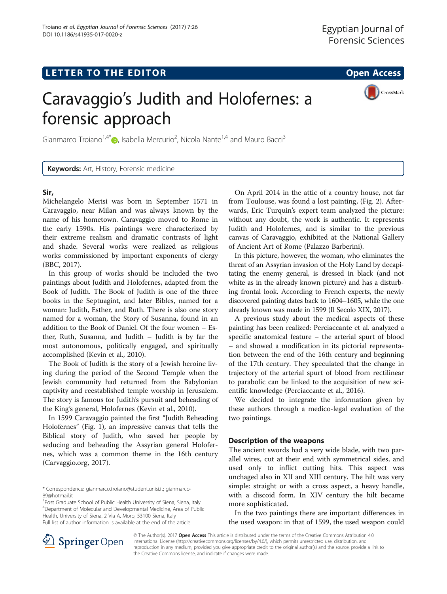CrossMark

# Caravaggio's Judith and Holofernes: a forensic approach

Gianmarco Troiano<sup>1,4[\\*](http://orcid.org/0000-0001-5205-0083)</sup> (**b**, Isabella Mercurio<sup>2</sup>, Nicola Nante<sup>1,4</sup> and Mauro Bacci<sup>3</sup>

Keywords: Art, History, Forensic medicine

# Sir,

Michelangelo Merisi was born in September 1571 in Caravaggio, near Milan and was always known by the name of his hometown. Caravaggio moved to Rome in the early 1590s. His paintings were characterized by their extreme realism and dramatic contrasts of light and shade. Several works were realized as religious works commissioned by important exponents of clergy (BBC, [2017](#page-2-0)).

In this group of works should be included the two paintings about Judith and Holofernes, adapted from the Book of Judith. The Book of Judith is one of the three books in the Septuagint, and later Bibles, named for a woman: Judith, Esther, and Ruth. There is also one story named for a woman, the Story of Susanna, found in an addition to the Book of Daniel. Of the four women – Esther, Ruth, Susanna, and Judith – Judith is by far the most autonomous, politically engaged, and spiritually accomplished (Kevin et al., [2010](#page-2-0)).

The Book of Judith is the story of a Jewish heroine living during the period of the Second Temple when the Jewish community had returned from the Babylonian captivity and reestablished temple worship in Jerusalem. The story is famous for Judith's pursuit and beheading of the King's general, Holofernes (Kevin et al., [2010](#page-2-0)).

In 1599 Caravaggio painted the first "Judith Beheading Holofernes" (Fig. [1\)](#page-1-0), an impressive canvas that tells the Biblical story of Judith, who saved her people by seducing and beheading the Assyrian general Holofernes, which was a common theme in the 16th century (Carvaggio.org, [2017](#page-2-0)).

On April 2014 in the attic of a country house, not far from Toulouse, was found a lost painting, (Fig. [2\)](#page-1-0). Afterwards, Eric Turquin's expert team analyzed the picture: without any doubt, the work is authentic. It represents Judith and Holofernes, and is similar to the previous canvas of Caravaggio, exhibited at the National Gallery of Ancient Art of Rome (Palazzo Barberini).

In this picture, however, the woman, who eliminates the threat of an Assyrian invasion of the Holy Land by decapitating the enemy general, is dressed in black (and not white as in the already known picture) and has a disturbing frontal look. According to French experts, the newly discovered painting dates back to 1604–1605, while the one already known was made in 1599 (Il Secolo XIX, [2017](#page-2-0)).

A previous study about the medical aspects of these painting has been realized: Perciaccante et al. analyzed a specific anatomical feature – the arterial spurt of blood – and showed a modification in its pictorial representation between the end of the 16th century and beginning of the 17th century. They speculated that the change in trajectory of the arterial spurt of blood from rectilinear to parabolic can be linked to the acquisition of new scientific knowledge (Perciaccante et al., [2016](#page-2-0)).

We decided to integrate the information given by these authors through a medico-legal evaluation of the two paintings.

# Description of the weapons

The ancient swords had a very wide blade, with two parallel wires, cut at their end with symmetrical sides, and used only to inflict cutting hits. This aspect was unchaged also in XII and XIII century. The hilt was very simple: straight or with a cross aspect, a heavy handle, with a discoid form. In XIV century the hilt became more sophisticated.

In the two paintings there are important differences in the used weapon: in that of 1599, the used weapon could



© The Author(s). 2017 Open Access This article is distributed under the terms of the Creative Commons Attribution 4.0 International License ([http://creativecommons.org/licenses/by/4.0/\)](http://creativecommons.org/licenses/by/4.0/), which permits unrestricted use, distribution, and reproduction in any medium, provided you give appropriate credit to the original author(s) and the source, provide a link to the Creative Commons license, and indicate if changes were made.

<sup>\*</sup> Correspondence: [gianmarco.troiano@student.unisi.it](mailto:gianmarco.troiano@student.unisi.it); [gianmarco-](mailto:gianmarco-89@hotmail.it)[89@hotmail.it](mailto:gianmarco-89@hotmail.it)

<sup>&</sup>lt;sup>1</sup>Post Graduate School of Public Health University of Siena, Siena, Italy 4 Department of Molecular and Developmental Medicine, Area of Public Health, University of Siena, 2 Via A. Moro, 53100 Siena, Italy Full list of author information is available at the end of the article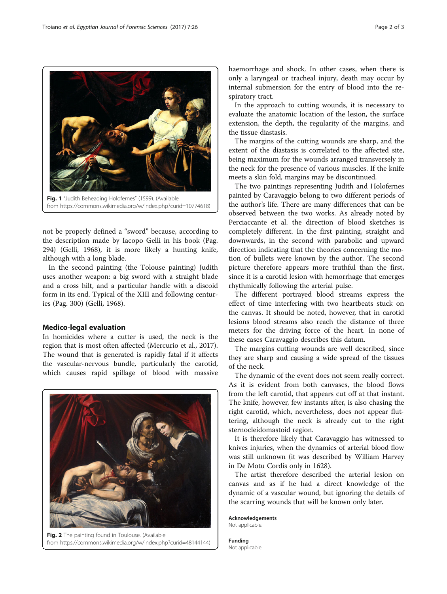not be properly defined a "sword" because, according to the description made by Iacopo Gelli in his book (Pag. 294) (Gelli, [1968\)](#page-2-0), it is more likely a hunting knife, although with a long blade.

In the second painting (the Tolouse painting) Judith uses another weapon: a big sword with a straight blade and a cross hilt, and a particular handle with a discoid form in its end. Typical of the XIII and following centuries (Pag. 300) (Gelli, [1968](#page-2-0)).

# Medico-legal evaluation

In homicides where a cutter is used, the neck is the region that is most often affected (Mercurio et al., [2017](#page-2-0)). The wound that is generated is rapidly fatal if it affects the vascular-nervous bundle, particularly the carotid, which causes rapid spillage of blood with massive haemorrhage and shock. In other cases, when there is only a laryngeal or tracheal injury, death may occur by internal submersion for the entry of blood into the respiratory tract.

In the approach to cutting wounds, it is necessary to evaluate the anatomic location of the lesion, the surface extension, the depth, the regularity of the margins, and the tissue diastasis.

The margins of the cutting wounds are sharp, and the extent of the diastasis is correlated to the affected site, being maximum for the wounds arranged transversely in the neck for the presence of various muscles. If the knife meets a skin fold, margins may be discontinued.

The two paintings representing Judith and Holofernes painted by Caravaggio belong to two different periods of the author's life. There are many differences that can be observed between the two works. As already noted by Perciaccante et al. the direction of blood sketches is completely different. In the first painting, straight and downwards, in the second with parabolic and upward direction indicating that the theories concerning the motion of bullets were known by the author. The second picture therefore appears more truthful than the first, since it is a carotid lesion with hemorrhage that emerges rhythmically following the arterial pulse.

The different portrayed blood streams express the effect of time interfering with two heartbeats stuck on the canvas. It should be noted, however, that in carotid lesions blood streams also reach the distance of three meters for the driving force of the heart. In none of these cases Caravaggio describes this datum.

The margins cutting wounds are well described, since they are sharp and causing a wide spread of the tissues of the neck.

The dynamic of the event does not seem really correct. As it is evident from both canvases, the blood flows from the left carotid, that appears cut off at that instant. The knife, however, few instants after, is also chasing the right carotid, which, nevertheless, does not appear fluttering, although the neck is already cut to the right sternocleidomastoid region.

It is therefore likely that Caravaggio has witnessed to knives injuries, when the dynamics of arterial blood flow was still unknown (it was described by William Harvey in De Motu Cordis only in 1628).

The artist therefore described the arterial lesion on canvas and as if he had a direct knowledge of the dynamic of a vascular wound, but ignoring the details of the scarring wounds that will be known only later.

Acknowledgements

Not applicable.

Funding Not applicable.

Fig. 2 The painting found in Toulouse. (Available from<https://commons.wikimedia.org/w/index.php?curid=48144144>)

<span id="page-1-0"></span>